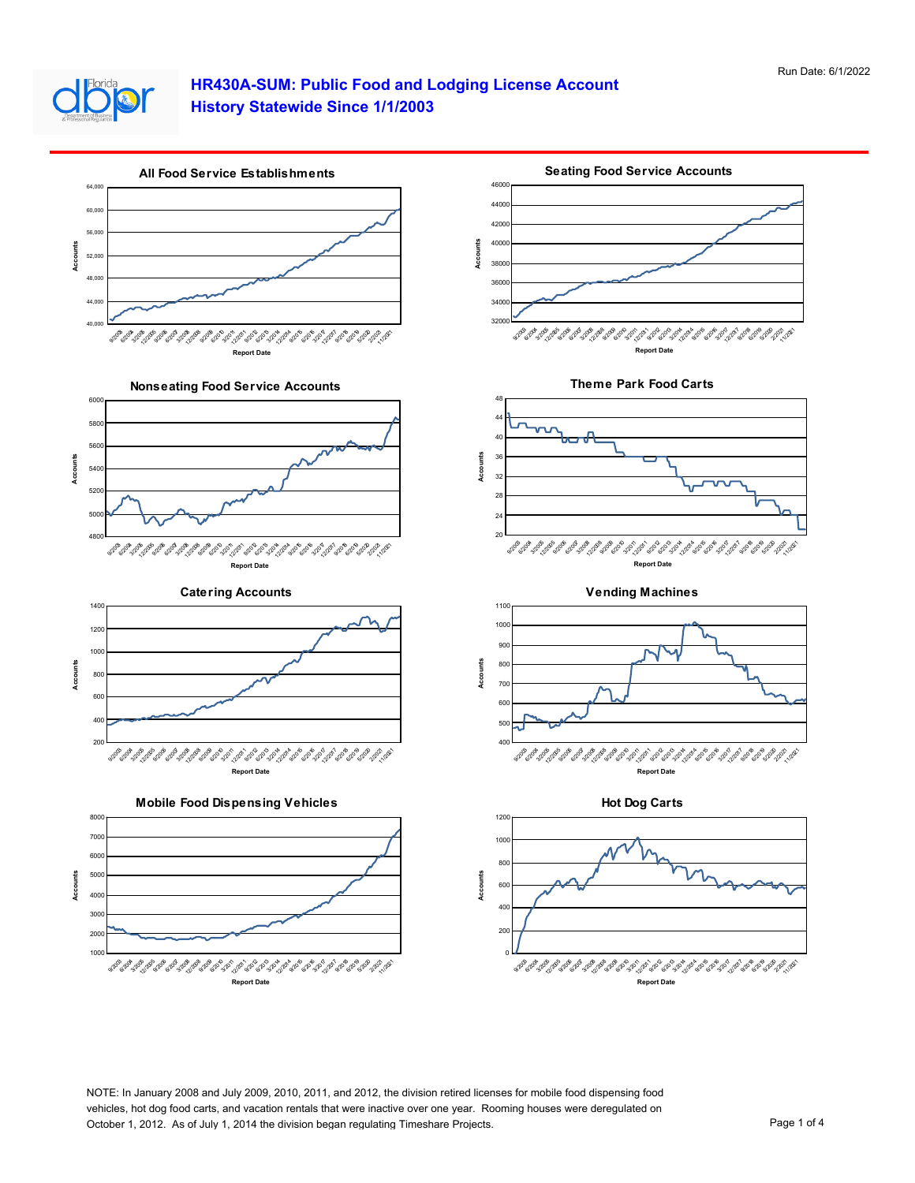

## **HR430A-SUM: Public Food and Lodging License Account History Statewide Since 1/1/2003**



NOTE: In January 2008 and July 2009, 2010, 2011, and 2012, the division retired licenses for mobile food dispensing food vehicles, hot dog food carts, and vacation rentals that were inactive over one year. Rooming houses were deregulated on October 1, 2012. As of July 1, 2014 the division began regulating Timeshare Projects. Page 1 of 4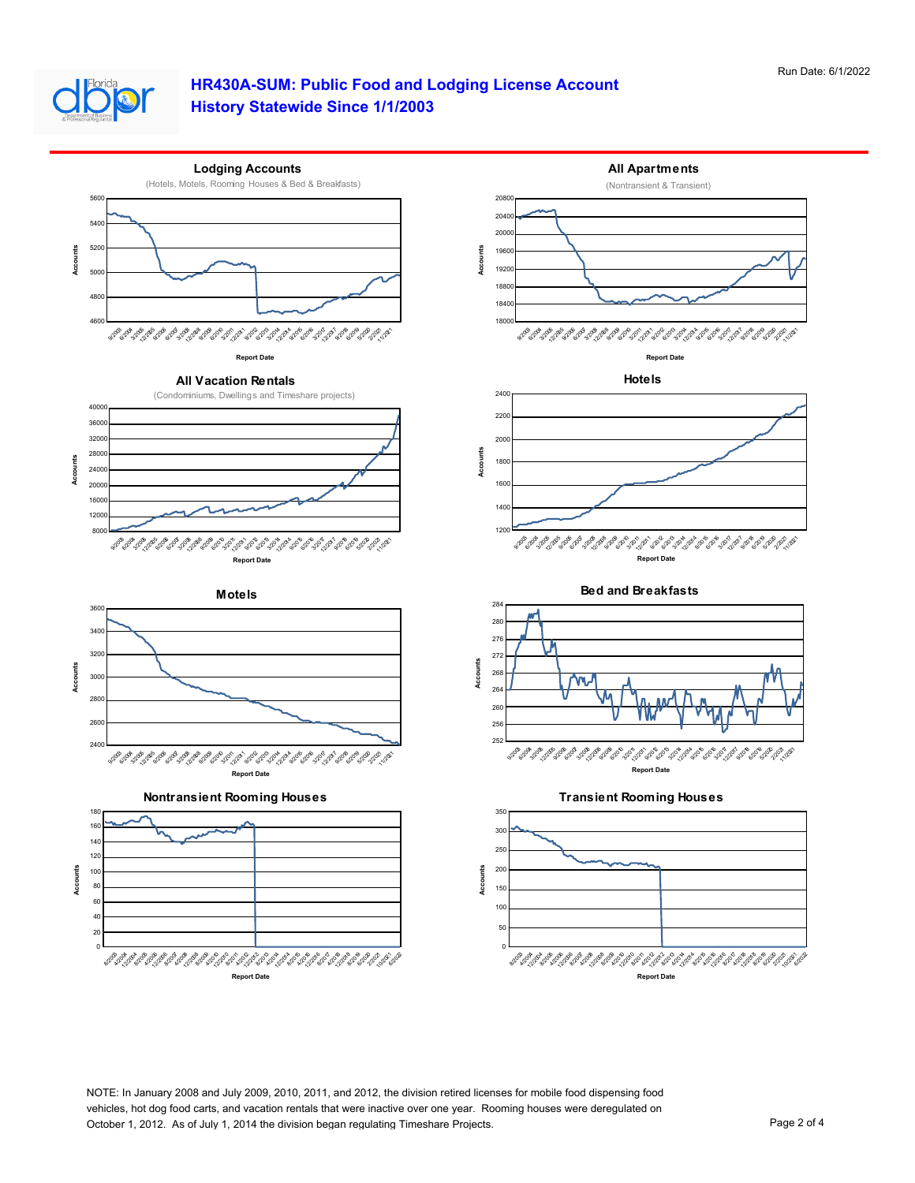

## **HR430A-SUM: Public Food and Lodging License Account History Statewide Since 1/1/2003**



NOTE: In January 2008 and July 2009, 2010, 2011, and 2012, the division retired licenses for mobile food dispensing food vehicles, hot dog food carts, and vacation rentals that were inactive over one year. Rooming houses were deregulated on October 1, 2012. As of July 1, 2014 the division began regulating Timeshare Projects. Page 2 of 4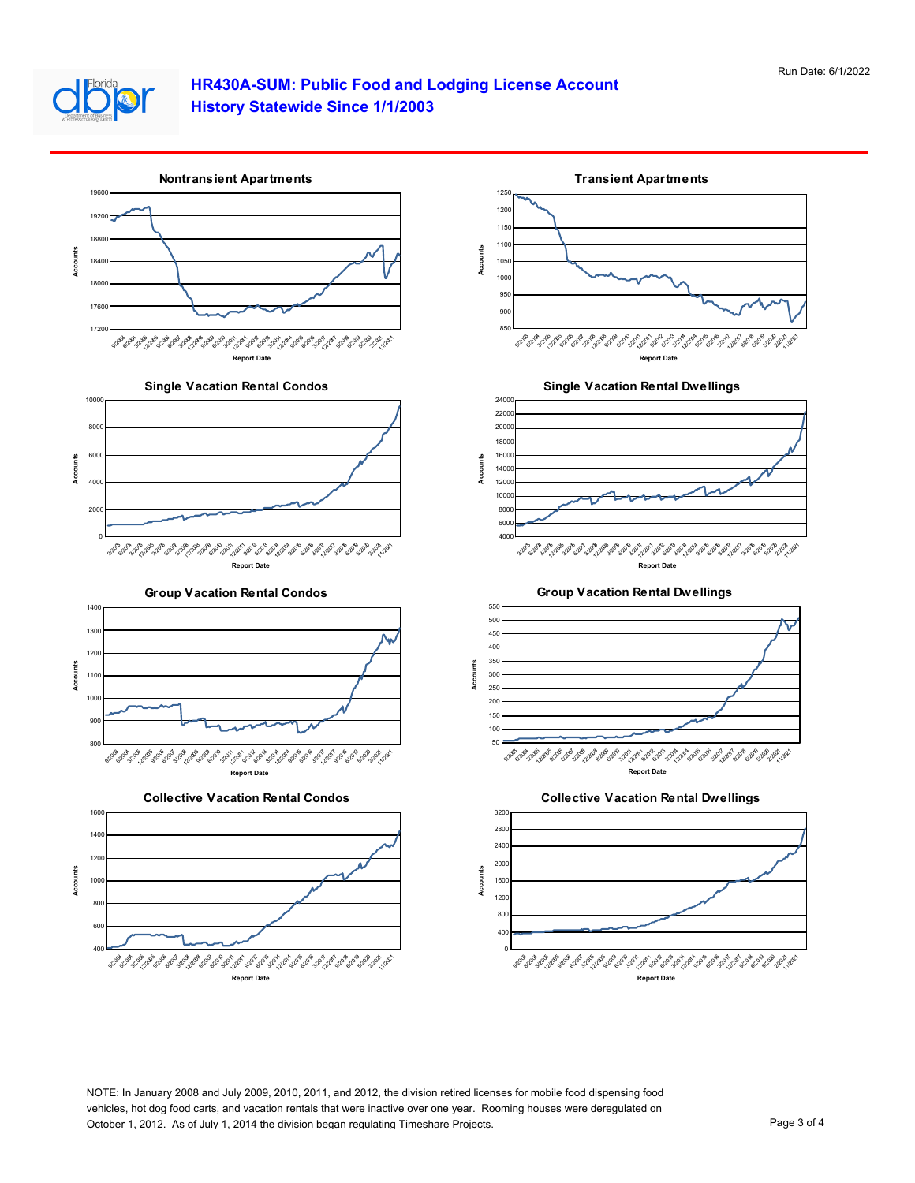

## **HR430A-SUM: Public Food and Lodging License Account History Statewide Since 1/1/2003**



NOTE: In January 2008 and July 2009, 2010, 2011, and 2012, the division retired licenses for mobile food dispensing food vehicles, hot dog food carts, and vacation rentals that were inactive over one year. Rooming houses were deregulated on October 1, 2012. As of July 1, 2014 the division began regulating Timeshare Projects. Page 3 of 4